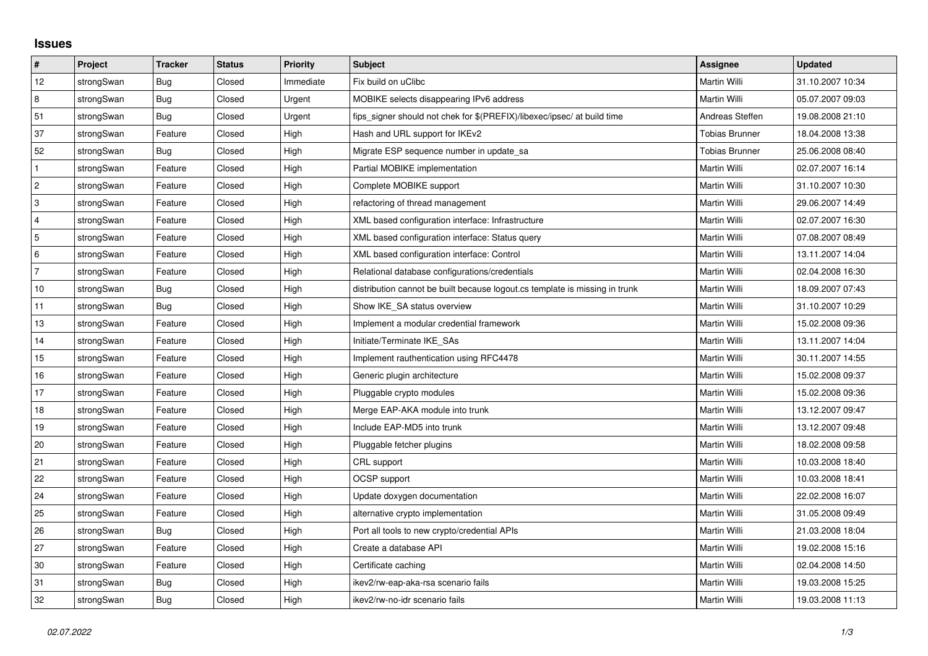## **Issues**

| $\vert$ #      | Project    | <b>Tracker</b> | <b>Status</b> | Priority  | Subject                                                                     | <b>Assignee</b>       | <b>Updated</b>   |
|----------------|------------|----------------|---------------|-----------|-----------------------------------------------------------------------------|-----------------------|------------------|
| 12             | strongSwan | Bug            | Closed        | Immediate | Fix build on uClibc                                                         | Martin Willi          | 31.10.2007 10:34 |
| 8              | strongSwan | Bug            | Closed        | Urgent    | MOBIKE selects disappearing IPv6 address                                    | Martin Willi          | 05.07.2007 09:03 |
| 51             | strongSwan | <b>Bug</b>     | Closed        | Urgent    | fips_signer should not chek for \$(PREFIX)/libexec/ipsec/ at build time     | Andreas Steffen       | 19.08.2008 21:10 |
| 37             | strongSwan | Feature        | Closed        | High      | Hash and URL support for IKEv2                                              | <b>Tobias Brunner</b> | 18.04.2008 13:38 |
| 52             | strongSwan | <b>Bug</b>     | Closed        | High      | Migrate ESP sequence number in update sa                                    | <b>Tobias Brunner</b> | 25.06.2008 08:40 |
| $\mathbf{1}$   | strongSwan | Feature        | Closed        | High      | Partial MOBIKE implementation                                               | <b>Martin Willi</b>   | 02.07.2007 16:14 |
| $\overline{c}$ | strongSwan | Feature        | Closed        | High      | Complete MOBIKE support                                                     | Martin Willi          | 31.10.2007 10:30 |
| $\mathsf 3$    | strongSwan | Feature        | Closed        | High      | refactoring of thread management                                            | Martin Willi          | 29.06.2007 14:49 |
| $\overline{4}$ | strongSwan | Feature        | Closed        | High      | XML based configuration interface: Infrastructure                           | Martin Willi          | 02.07.2007 16:30 |
| $\overline{5}$ | strongSwan | Feature        | Closed        | High      | XML based configuration interface: Status query                             | Martin Willi          | 07.08.2007 08:49 |
| 6              | strongSwan | Feature        | Closed        | High      | XML based configuration interface: Control                                  | Martin Willi          | 13.11.2007 14:04 |
| $\overline{7}$ | strongSwan | Feature        | Closed        | High      | Relational database configurations/credentials                              | Martin Willi          | 02.04.2008 16:30 |
| 10             | strongSwan | Bug            | Closed        | High      | distribution cannot be built because logout.cs template is missing in trunk | Martin Willi          | 18.09.2007 07:43 |
| 11             | strongSwan | Bug            | Closed        | High      | Show IKE_SA status overview                                                 | Martin Willi          | 31.10.2007 10:29 |
| 13             | strongSwan | Feature        | Closed        | High      | Implement a modular credential framework                                    | Martin Willi          | 15.02.2008 09:36 |
| 14             | strongSwan | Feature        | Closed        | High      | Initiate/Terminate IKE SAs                                                  | Martin Willi          | 13.11.2007 14:04 |
| 15             | strongSwan | Feature        | Closed        | High      | Implement rauthentication using RFC4478                                     | Martin Willi          | 30.11.2007 14:55 |
| 16             | strongSwan | Feature        | Closed        | High      | Generic plugin architecture                                                 | Martin Willi          | 15.02.2008 09:37 |
| 17             | strongSwan | Feature        | Closed        | High      | Pluggable crypto modules                                                    | Martin Willi          | 15.02.2008 09:36 |
| 18             | strongSwan | Feature        | Closed        | High      | Merge EAP-AKA module into trunk                                             | Martin Willi          | 13.12.2007 09:47 |
| 19             | strongSwan | Feature        | Closed        | High      | Include EAP-MD5 into trunk                                                  | Martin Willi          | 13.12.2007 09:48 |
| 20             | strongSwan | Feature        | Closed        | High      | Pluggable fetcher plugins                                                   | Martin Willi          | 18.02.2008 09:58 |
| 21             | strongSwan | Feature        | Closed        | High      | CRL support                                                                 | Martin Willi          | 10.03.2008 18:40 |
| 22             | strongSwan | Feature        | Closed        | High      | <b>OCSP</b> support                                                         | Martin Willi          | 10.03.2008 18:41 |
| 24             | strongSwan | Feature        | Closed        | High      | Update doxygen documentation                                                | Martin Willi          | 22.02.2008 16:07 |
| 25             | strongSwan | Feature        | Closed        | High      | alternative crypto implementation                                           | <b>Martin Willi</b>   | 31.05.2008 09:49 |
| 26             | strongSwan | <b>Bug</b>     | Closed        | High      | Port all tools to new crypto/credential APIs                                | Martin Willi          | 21.03.2008 18:04 |
| 27             | strongSwan | Feature        | Closed        | High      | Create a database API                                                       | Martin Willi          | 19.02.2008 15:16 |
| 30             | strongSwan | Feature        | Closed        | High      | Certificate caching                                                         | Martin Willi          | 02.04.2008 14:50 |
| 31             | strongSwan | Bug            | Closed        | High      | ikev2/rw-eap-aka-rsa scenario fails                                         | Martin Willi          | 19.03.2008 15:25 |
| 32             | strongSwan | Bug            | Closed        | High      | ikev2/rw-no-idr scenario fails                                              | Martin Willi          | 19.03.2008 11:13 |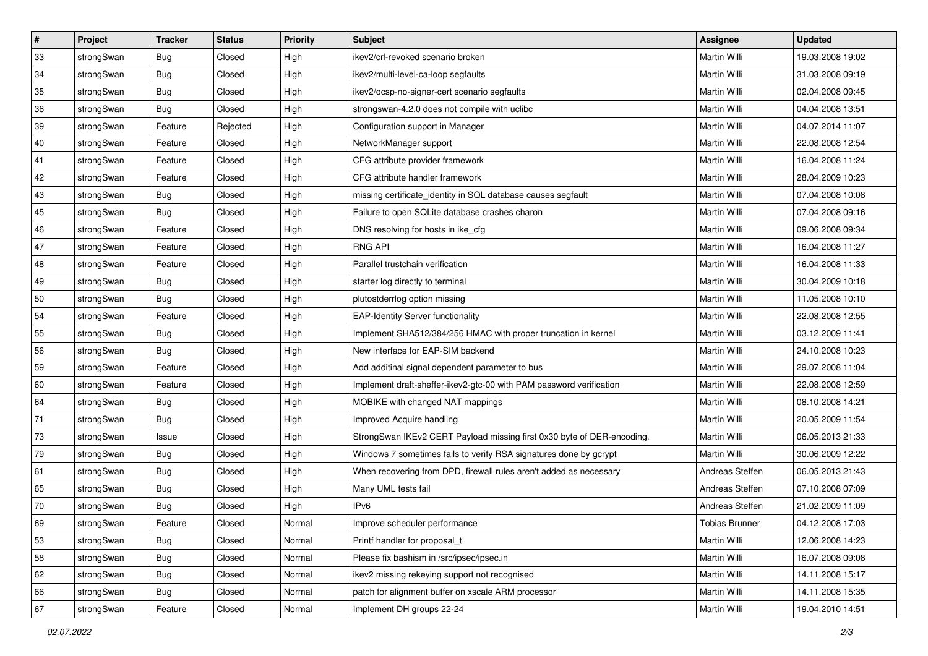| $\vert$ # | Project    | <b>Tracker</b> | <b>Status</b> | Priority | <b>Subject</b>                                                         | <b>Assignee</b> | <b>Updated</b>   |
|-----------|------------|----------------|---------------|----------|------------------------------------------------------------------------|-----------------|------------------|
| 33        | strongSwan | <b>Bug</b>     | Closed        | High     | ikev2/crl-revoked scenario broken                                      | Martin Willi    | 19.03.2008 19:02 |
| 34        | strongSwan | Bug            | Closed        | High     | ikev2/multi-level-ca-loop segfaults                                    | Martin Willi    | 31.03.2008 09:19 |
| 35        | strongSwan | <b>Bug</b>     | Closed        | High     | ikev2/ocsp-no-signer-cert scenario segfaults                           | Martin Willi    | 02.04.2008 09:45 |
| 36        | strongSwan | <b>Bug</b>     | Closed        | High     | strongswan-4.2.0 does not compile with uclibc                          | Martin Willi    | 04.04.2008 13:51 |
| 39        | strongSwan | Feature        | Rejected      | High     | Configuration support in Manager                                       | Martin Willi    | 04.07.2014 11:07 |
| 40        | strongSwan | Feature        | Closed        | High     | NetworkManager support                                                 | Martin Willi    | 22.08.2008 12:54 |
| 41        | strongSwan | Feature        | Closed        | High     | CFG attribute provider framework                                       | Martin Willi    | 16.04.2008 11:24 |
| 42        | strongSwan | Feature        | Closed        | High     | CFG attribute handler framework                                        | Martin Willi    | 28.04.2009 10:23 |
| 43        | strongSwan | <b>Bug</b>     | Closed        | High     | missing certificate_identity in SQL database causes segfault           | Martin Willi    | 07.04.2008 10:08 |
| 45        | strongSwan | Bug            | Closed        | High     | Failure to open SQLite database crashes charon                         | Martin Willi    | 07.04.2008 09:16 |
| 46        | strongSwan | Feature        | Closed        | High     | DNS resolving for hosts in ike_cfg                                     | Martin Willi    | 09.06.2008 09:34 |
| 47        | strongSwan | Feature        | Closed        | High     | <b>RNG API</b>                                                         | Martin Willi    | 16.04.2008 11:27 |
| 48        | strongSwan | Feature        | Closed        | High     | Parallel trustchain verification                                       | Martin Willi    | 16.04.2008 11:33 |
| 49        | strongSwan | Bug            | Closed        | High     | starter log directly to terminal                                       | Martin Willi    | 30.04.2009 10:18 |
| 50        | strongSwan | Bug            | Closed        | High     | plutostderrlog option missing                                          | Martin Willi    | 11.05.2008 10:10 |
| 54        | strongSwan | Feature        | Closed        | High     | <b>EAP-Identity Server functionality</b>                               | Martin Willi    | 22.08.2008 12:55 |
| 55        | strongSwan | <b>Bug</b>     | Closed        | High     | Implement SHA512/384/256 HMAC with proper truncation in kernel         | Martin Willi    | 03.12.2009 11:41 |
| 56        | strongSwan | Bug            | Closed        | High     | New interface for EAP-SIM backend                                      | Martin Willi    | 24.10.2008 10:23 |
| 59        | strongSwan | Feature        | Closed        | High     | Add additinal signal dependent parameter to bus                        | Martin Willi    | 29.07.2008 11:04 |
| 60        | strongSwan | Feature        | Closed        | High     | Implement draft-sheffer-ikev2-gtc-00 with PAM password verification    | Martin Willi    | 22.08.2008 12:59 |
| 64        | strongSwan | <b>Bug</b>     | Closed        | High     | MOBIKE with changed NAT mappings                                       | Martin Willi    | 08.10.2008 14:21 |
| 71        | strongSwan | <b>Bug</b>     | Closed        | High     | Improved Acquire handling                                              | Martin Willi    | 20.05.2009 11:54 |
| 73        | strongSwan | Issue          | Closed        | High     | StrongSwan IKEv2 CERT Payload missing first 0x30 byte of DER-encoding. | Martin Willi    | 06.05.2013 21:33 |
| 79        | strongSwan | <b>Bug</b>     | Closed        | High     | Windows 7 sometimes fails to verify RSA signatures done by gcrypt      | Martin Willi    | 30.06.2009 12:22 |
| 61        | strongSwan | <b>Bug</b>     | Closed        | High     | When recovering from DPD, firewall rules aren't added as necessary     | Andreas Steffen | 06.05.2013 21:43 |
| 65        | strongSwan | <b>Bug</b>     | Closed        | High     | Many UML tests fail                                                    | Andreas Steffen | 07.10.2008 07:09 |
| 70        | strongSwan | Bug            | Closed        | High     | IP <sub>v6</sub>                                                       | Andreas Steffen | 21.02.2009 11:09 |
| 69        | strongSwan | Feature        | Closed        | Normal   | Improve scheduler performance                                          | Tobias Brunner  | 04.12.2008 17:03 |
| 53        | strongSwan | <b>Bug</b>     | Closed        | Normal   | Printf handler for proposal_t                                          | Martin Willi    | 12.06.2008 14:23 |
| 58        | strongSwan | Bug            | Closed        | Normal   | Please fix bashism in /src/ipsec/ipsec.in                              | Martin Willi    | 16.07.2008 09:08 |
| 62        | strongSwan | Bug            | Closed        | Normal   | ikev2 missing rekeying support not recognised                          | Martin Willi    | 14.11.2008 15:17 |
| 66        | strongSwan | Bug            | Closed        | Normal   | patch for alignment buffer on xscale ARM processor                     | Martin Willi    | 14.11.2008 15:35 |
| 67        | strongSwan | Feature        | Closed        | Normal   | Implement DH groups 22-24                                              | Martin Willi    | 19.04.2010 14:51 |